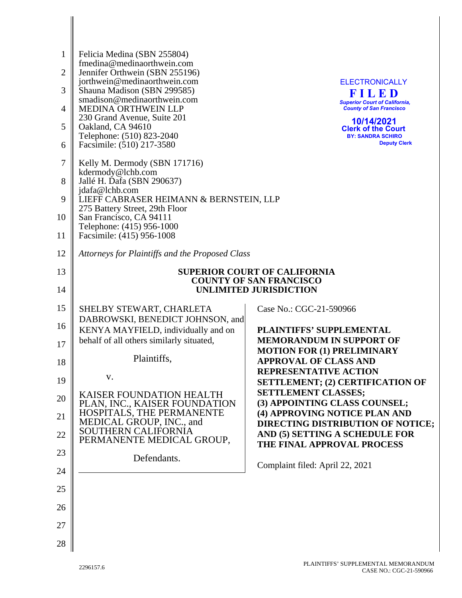| 1<br>2<br>3<br>4<br>5<br>6<br>7<br>8<br>9 | Felicia Medina (SBN 255804)<br>fmedina@medinaorthwein.com<br>Jennifer Orthwein (SBN 255196)<br>jorthwein@medinaorthwein.com<br>Shauna Madison (SBN 299585)<br>smadison@medinaorthwein.com<br><b>MEDINA ORTHWEIN LLP</b><br>230 Grand Avenue, Suite 201<br>Oakland, CA 94610<br>Telephone: (510) 823-2040<br>Facsimile: (510) 217-3580<br>Kelly M. Dermody (SBN 171716)<br>kdermody@lchb.com<br>Jallé H. Dafa (SBN 290637)<br>jdafa@lchb.com<br>LIEFF CABRASER HEIMANN & BERNSTEIN, LLP<br>275 Battery Street, 29th Floor | <b>ELECTRONICALLY</b><br>FILED<br><b>Superior Court of California,</b><br><b>County of San Francisco</b><br>10/14/2021<br><b>Clerk of the Court</b><br><b>BY: SANDRA SCHIRO</b><br><b>Deputy Clerk</b> |
|-------------------------------------------|--------------------------------------------------------------------------------------------------------------------------------------------------------------------------------------------------------------------------------------------------------------------------------------------------------------------------------------------------------------------------------------------------------------------------------------------------------------------------------------------------------------------------|--------------------------------------------------------------------------------------------------------------------------------------------------------------------------------------------------------|
| 10<br>11                                  | San Francisco, CA 94111<br>Telephone: (415) 956-1000<br>Facsimile: (415) 956-1008                                                                                                                                                                                                                                                                                                                                                                                                                                        |                                                                                                                                                                                                        |
| 12                                        | Attorneys for Plaintiffs and the Proposed Class                                                                                                                                                                                                                                                                                                                                                                                                                                                                          |                                                                                                                                                                                                        |
| 13<br>14                                  |                                                                                                                                                                                                                                                                                                                                                                                                                                                                                                                          | <b>SUPERIOR COURT OF CALIFORNIA</b><br><b>COUNTY OF SAN FRANCISCO</b><br><b>UNLIMITED JURISDICTION</b>                                                                                                 |
| 15                                        | SHELBY STEWART, CHARLETA                                                                                                                                                                                                                                                                                                                                                                                                                                                                                                 | Case No.: CGC-21-590966                                                                                                                                                                                |
| 16<br>17                                  | DABROWSKI, BENEDICT JOHNSON, and<br>KENYA MAYFIELD, individually and on<br>behalf of all others similarly situated,                                                                                                                                                                                                                                                                                                                                                                                                      | <b>PLAINTIFFS' SUPPLEMENTAL</b><br><b>MEMORANDUM IN SUPPORT OF</b>                                                                                                                                     |
| 18                                        | Plaintiffs,                                                                                                                                                                                                                                                                                                                                                                                                                                                                                                              | <b>MOTION FOR (1) PRELIMINARY</b><br><b>APPROVAL OF CLASS AND</b>                                                                                                                                      |
| 19                                        | V.                                                                                                                                                                                                                                                                                                                                                                                                                                                                                                                       | <b>REPRESENTATIVE ACTION</b><br><b>SETTLEMENT; (2) CERTIFICATION OF</b>                                                                                                                                |
| 20                                        | KAISER FOUNDATION HEALTH<br>PLAN, INC., KAISER FOUNDATION                                                                                                                                                                                                                                                                                                                                                                                                                                                                | <b>SETTLEMENT CLASSES;</b><br>(3) APPOINTING CLASS COUNSEL;                                                                                                                                            |
| 21                                        | HOSPITALS, THE PERMANENTE<br>MEDICAL GROUP, INC., and                                                                                                                                                                                                                                                                                                                                                                                                                                                                    | (4) APPROVING NOTICE PLAN AND<br><b>DIRECTING DISTRIBUTION OF NOTICE;</b>                                                                                                                              |
| 22                                        | SOUTHERN CALIFORNIA<br>PERMANENTE MEDICAL GROUP,                                                                                                                                                                                                                                                                                                                                                                                                                                                                         | AND (5) SETTING A SCHEDULE FOR<br>THE FINAL APPROVAL PROCESS                                                                                                                                           |
| 23                                        | Defendants.                                                                                                                                                                                                                                                                                                                                                                                                                                                                                                              |                                                                                                                                                                                                        |
| 24                                        |                                                                                                                                                                                                                                                                                                                                                                                                                                                                                                                          | Complaint filed: April 22, 2021                                                                                                                                                                        |
| 25                                        |                                                                                                                                                                                                                                                                                                                                                                                                                                                                                                                          |                                                                                                                                                                                                        |
| 26                                        |                                                                                                                                                                                                                                                                                                                                                                                                                                                                                                                          |                                                                                                                                                                                                        |
| 27                                        |                                                                                                                                                                                                                                                                                                                                                                                                                                                                                                                          |                                                                                                                                                                                                        |
| 28                                        |                                                                                                                                                                                                                                                                                                                                                                                                                                                                                                                          |                                                                                                                                                                                                        |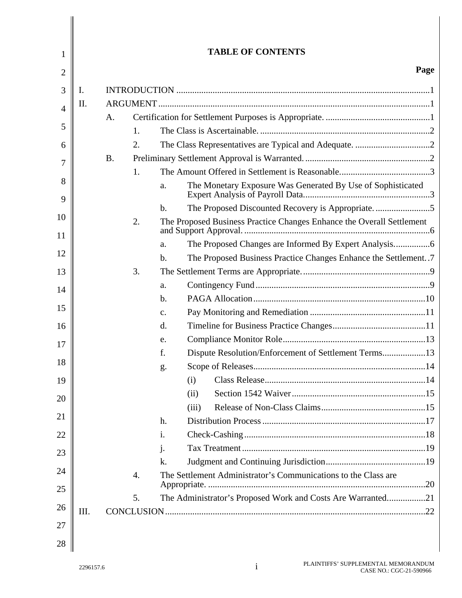| 1        |      |           |                  |                | <b>TABLE OF CONTENTS</b>                                              |      |
|----------|------|-----------|------------------|----------------|-----------------------------------------------------------------------|------|
| 2        |      |           |                  |                |                                                                       | Page |
| 3        | Ι.   |           |                  |                |                                                                       |      |
| 4        | II.  |           |                  |                |                                                                       |      |
|          |      | A.        |                  |                |                                                                       |      |
| 5        |      |           | 1.               |                |                                                                       |      |
| 6        |      |           | 2.               |                |                                                                       |      |
| 7        |      | <b>B.</b> |                  |                |                                                                       |      |
|          |      |           | 1.               |                |                                                                       |      |
| 8<br>9   |      |           |                  | a.             | The Monetary Exposure Was Generated By Use of Sophisticated           |      |
|          |      |           |                  | b.             | The Proposed Discounted Recovery is Appropriate5                      |      |
| 10<br>11 |      |           | 2.               |                | The Proposed Business Practice Changes Enhance the Overall Settlement |      |
|          |      |           |                  | a.             |                                                                       |      |
| 12       |      |           |                  | b.             | The Proposed Business Practice Changes Enhance the Settlement7        |      |
| 13       |      |           | 3.               |                |                                                                       |      |
| 14       |      |           |                  | a.             |                                                                       |      |
|          |      |           |                  | b.             |                                                                       |      |
| 15       |      |           |                  | $\mathbf{C}$ . |                                                                       |      |
| 16       |      |           |                  | d.             |                                                                       |      |
| 17       |      |           |                  | e.             |                                                                       |      |
| 18       |      |           |                  | f.             | Dispute Resolution/Enforcement of Settlement Terms13                  |      |
|          |      |           |                  | g.             |                                                                       |      |
| 19       |      |           |                  |                | (i)                                                                   |      |
| 20       |      |           |                  |                | (ii)                                                                  |      |
| 21       |      |           |                  |                | (iii)                                                                 |      |
|          |      |           |                  | h.             |                                                                       |      |
| 22       |      |           |                  | 1.             |                                                                       |      |
| 23       |      |           |                  | $\mathbf{1}$ . |                                                                       |      |
| 24       |      |           |                  | k.             |                                                                       |      |
| 25       |      |           | $\overline{4}$ . |                | The Settlement Administrator's Communications to the Class are        |      |
|          |      |           | 5.               |                | The Administrator's Proposed Work and Costs Are Warranted21           |      |
| 26<br>27 | III. |           |                  |                |                                                                       |      |
| 28       |      |           |                  |                |                                                                       |      |

 $\Big\|$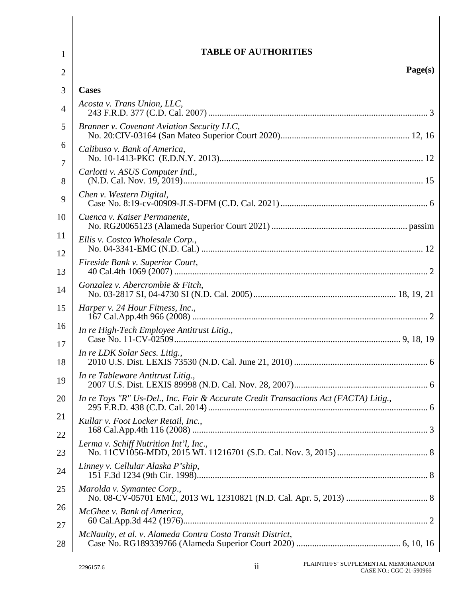| 1              | <b>TABLE OF AUTHORITIES</b>                                                          |
|----------------|--------------------------------------------------------------------------------------|
| $\overline{2}$ | Page(s)                                                                              |
| 3              | <b>Cases</b>                                                                         |
| $\overline{4}$ | Acosta v. Trans Union, LLC,                                                          |
| 5              | Branner v. Covenant Aviation Security LLC,                                           |
| 6<br>7         | Calibuso v. Bank of America,                                                         |
| 8              | Carlotti v. ASUS Computer Intl.,                                                     |
| 9              | Chen v. Western Digital,                                                             |
| 10             | Cuenca v. Kaiser Permanente,                                                         |
| 11             | Ellis v. Costco Wholesale Corp.,                                                     |
| 12<br>13       | Fireside Bank v. Superior Court,                                                     |
| 14             | Gonzalez v. Abercrombie & Fitch,                                                     |
| 15             | Harper v. 24 Hour Fitness, Inc.,                                                     |
| 16<br>17       | In re High-Tech Employee Antitrust Litig.,                                           |
| 18             | In re LDK Solar Secs. Litig.,                                                        |
| 19             | In re Tableware Antitrust Litig.,                                                    |
| 20             | In re Toys "R" Us-Del., Inc. Fair & Accurate Credit Transactions Act (FACTA) Litig., |
| 21<br>22       | Kullar v. Foot Locker Retail, Inc.,                                                  |
| 23             | Lerma v. Schiff Nutrition Int'l, Inc.,                                               |
| 24             | Linney v. Cellular Alaska P'ship,                                                    |
| 25             | Marolda v. Symantec Corp.,                                                           |
| 26             | McGhee v. Bank of America,                                                           |
| 27<br>28       | McNaulty, et al. v. Alameda Contra Costa Transit District,                           |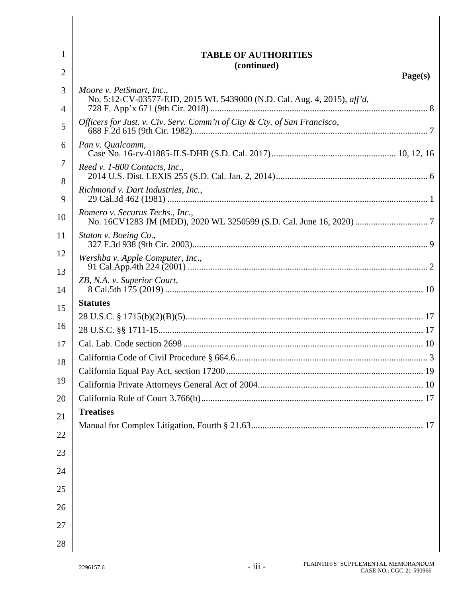| $\mathbf{1}$        | <b>TABLE OF AUTHORITIES</b>                                                                         |         |
|---------------------|-----------------------------------------------------------------------------------------------------|---------|
| $\overline{2}$      | (continued)                                                                                         | Page(s) |
| 3<br>$\overline{4}$ | Moore v. PetSmart, Inc.,<br>No. 5:12-CV-03577-EJD, 2015 WL 5439000 (N.D. Cal. Aug. 4, 2015), aff'd, |         |
| 5                   | Officers for Just. v. Civ. Serv. Comm'n of City & Cty. of San Francisco,                            |         |
| 6                   | Pan v. Qualcomm,                                                                                    |         |
| 7<br>8              | Reed v. 1-800 Contacts, Inc.,                                                                       |         |
| 9                   | Richmond v. Dart Industries, Inc.,                                                                  |         |
| 10                  | Romero v. Securus Techs., Inc.,                                                                     |         |
| 11                  | Staton v. Boeing Co.,                                                                               |         |
| 12                  | Wershba v. Apple Computer, Inc.,                                                                    |         |
| 13<br>14            | ZB, N.A. v. Superior Court,                                                                         |         |
| 15                  | <b>Statutes</b>                                                                                     |         |
|                     |                                                                                                     |         |
| 16                  |                                                                                                     |         |
| 17                  |                                                                                                     |         |
| 18                  |                                                                                                     |         |
|                     |                                                                                                     |         |
| 19                  |                                                                                                     |         |
| 20                  |                                                                                                     |         |
| 21                  | <b>Treatises</b>                                                                                    |         |
| 22                  |                                                                                                     |         |
| 23                  |                                                                                                     |         |
| 24                  |                                                                                                     |         |
| 25                  |                                                                                                     |         |
| 26                  |                                                                                                     |         |
| 27                  |                                                                                                     |         |
| 28                  |                                                                                                     |         |

 $\mathbf{II}$  $\parallel$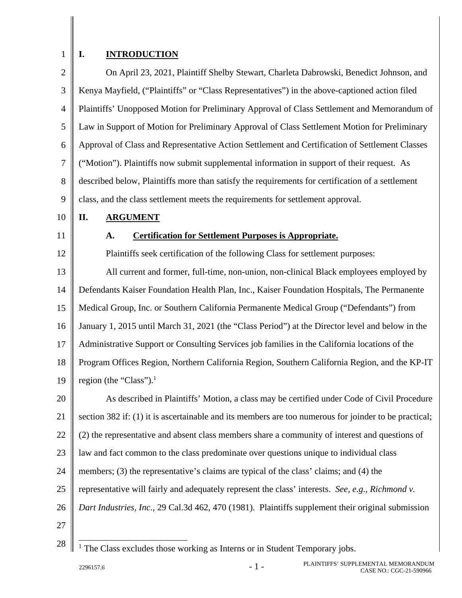# 1

## **I. INTRODUCTION**

2 3 4 5 6 7 8 9 On April 23, 2021, Plaintiff Shelby Stewart, Charleta Dabrowski, Benedict Johnson, and Kenya Mayfield, ("Plaintiffs" or "Class Representatives") in the above-captioned action filed Plaintiffs' Unopposed Motion for Preliminary Approval of Class Settlement and Memorandum of Law in Support of Motion for Preliminary Approval of Class Settlement Motion for Preliminary Approval of Class and Representative Action Settlement and Certification of Settlement Classes ("Motion"). Plaintiffs now submit supplemental information in support of their request. As described below, Plaintiffs more than satisfy the requirements for certification of a settlement class, and the class settlement meets the requirements for settlement approval.

#### 10 **II. ARGUMENT**

## 11

## **A. Certification for Settlement Purposes is Appropriate.**

12 13 14 15 16 17 18 19 20 21 22 23 24 Plaintiffs seek certification of the following Class for settlement purposes: All current and former, full-time, non-union, non-clinical Black employees employed by Defendants Kaiser Foundation Health Plan, Inc., Kaiser Foundation Hospitals, The Permanente Medical Group, Inc. or Southern California Permanente Medical Group ("Defendants") from January 1, 2015 until March 31, 2021 (the "Class Period") at the Director level and below in the Administrative Support or Consulting Services job families in the California locations of the Program Offices Region, Northern California Region, Southern California Region, and the KP-IT region (the "Class"). $<sup>1</sup>$ </sup> As described in Plaintiffs' Motion, a class may be certified under Code of Civil Procedure section 382 if: (1) it is ascertainable and its members are too numerous for joinder to be practical; (2) the representative and absent class members share a community of interest and questions of law and fact common to the class predominate over questions unique to individual class members; (3) the representative's claims are typical of the class' claims; and (4) the

- 
- 25 representative will fairly and adequately represent the class' interests. *See, e.g.*, *Richmond v.*
- 26 *Dart Industries, Inc.,* 29 Cal.3d 462, 470 (1981). Plaintiffs supplement their original submission
- 27 28

 $\overline{a}$ <sup>1</sup> The Class excludes those working as Interns or in Student Temporary jobs.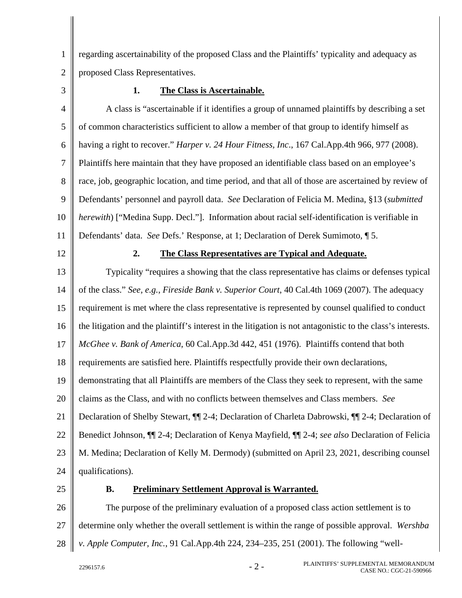1  $\mathfrak{D}$ regarding ascertainability of the proposed Class and the Plaintiffs' typicality and adequacy as proposed Class Representatives.

3

## **1. The Class is Ascertainable.**

4 5 6 7 8 9 10 11 A class is "ascertainable if it identifies a group of unnamed plaintiffs by describing a set of common characteristics sufficient to allow a member of that group to identify himself as having a right to recover." *Harper v. 24 Hour Fitness, Inc*., 167 Cal.App.4th 966, 977 (2008). Plaintiffs here maintain that they have proposed an identifiable class based on an employee's race, job, geographic location, and time period, and that all of those are ascertained by review of Defendants' personnel and payroll data. *See* Declaration of Felicia M. Medina, §13 (*submitted herewith*) ["Medina Supp. Decl."]. Information about racial self-identification is verifiable in Defendants' data. *See* Defs.' Response, at 1; Declaration of Derek Sumimoto, ¶ 5.

12

### **2. The Class Representatives are Typical and Adequate.**

13 14 15 16 17 18 19 20 21 22 23 24 Typicality "requires a showing that the class representative has claims or defenses typical of the class." *See, e.g.*, *Fireside Bank v. Superior Court*, 40 Cal.4th 1069 (2007). The adequacy requirement is met where the class representative is represented by counsel qualified to conduct the litigation and the plaintiff's interest in the litigation is not antagonistic to the class's interests. *McGhee v. Bank of America*, 60 Cal.App.3d 442, 451 (1976). Plaintiffs contend that both requirements are satisfied here. Plaintiffs respectfully provide their own declarations, demonstrating that all Plaintiffs are members of the Class they seek to represent, with the same claims as the Class, and with no conflicts between themselves and Class members. *See* Declaration of Shelby Stewart, ¶¶ 2-4; Declaration of Charleta Dabrowski, ¶¶ 2-4; Declaration of Benedict Johnson, ¶¶ 2-4; Declaration of Kenya Mayfield, ¶¶ 2-4; *see also* Declaration of Felicia M. Medina; Declaration of Kelly M. Dermody) (submitted on April 23, 2021, describing counsel qualifications).

25

#### **B. Preliminary Settlement Approval is Warranted.**

26 27 28 The purpose of the preliminary evaluation of a proposed class action settlement is to determine only whether the overall settlement is within the range of possible approval. *Wershba v. Apple Computer, Inc.*, 91 Cal.App.4th 224, 234–235, 251 (2001). The following "well-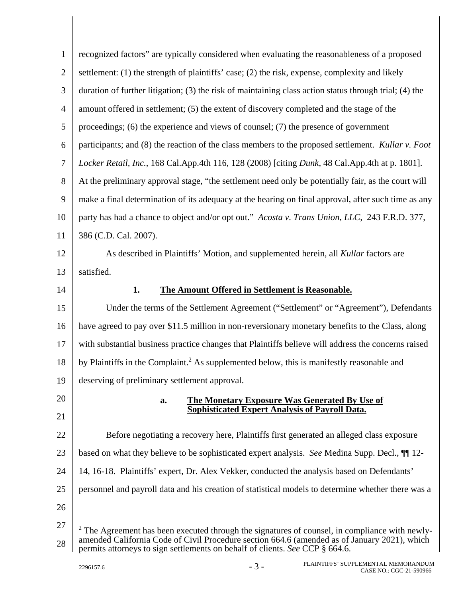| $\mathbf{1}$   | recognized factors" are typically considered when evaluating the reasonableness of a proposed                                                           |
|----------------|---------------------------------------------------------------------------------------------------------------------------------------------------------|
| $\overline{2}$ | settlement: (1) the strength of plaintiffs' case; (2) the risk, expense, complexity and likely                                                          |
| 3              | duration of further litigation; (3) the risk of maintaining class action status through trial; (4) the                                                  |
| $\overline{4}$ | amount offered in settlement; (5) the extent of discovery completed and the stage of the                                                                |
| 5              | proceedings; (6) the experience and views of counsel; (7) the presence of government                                                                    |
| 6              | participants; and (8) the reaction of the class members to the proposed settlement. Kullar v. Foot                                                      |
| $\tau$         | Locker Retail, Inc., 168 Cal.App.4th 116, 128 (2008) [citing Dunk, 48 Cal.App.4th at p. 1801].                                                          |
| 8              | At the preliminary approval stage, "the settlement need only be potentially fair, as the court will                                                     |
| 9              | make a final determination of its adequacy at the hearing on final approval, after such time as any                                                     |
| 10             | party has had a chance to object and/or opt out." Acosta v. Trans Union, LLC, 243 F.R.D. 377,                                                           |
| 11             | 386 (C.D. Cal. 2007).                                                                                                                                   |
| 12             | As described in Plaintiffs' Motion, and supplemented herein, all Kullar factors are                                                                     |
| 13             | satisfied.                                                                                                                                              |
| 14             | 1.<br>The Amount Offered in Settlement is Reasonable.                                                                                                   |
| 15             | Under the terms of the Settlement Agreement ("Settlement" or "Agreement"), Defendants                                                                   |
| 16             | have agreed to pay over \$11.5 million in non-reversionary monetary benefits to the Class, along                                                        |
| 17             | with substantial business practice changes that Plaintiffs believe will address the concerns raised                                                     |
| 18             | by Plaintiffs in the Complaint. <sup>2</sup> As supplemented below, this is manifestly reasonable and                                                   |
| 19             | deserving of preliminary settlement approval.                                                                                                           |
| 20             | <b>The Monetary Exposure Was Generated By Use of</b><br>a.                                                                                              |
| 21             | Sophisticated Expert Analysis of Payroll Data.                                                                                                          |
| 22             | Before negotiating a recovery here, Plaintiffs first generated an alleged class exposure                                                                |
| 23             | based on what they believe to be sophisticated expert analysis. See Medina Supp. Decl., $\P$ 12-                                                        |
| 24             | 14, 16-18. Plaintiffs' expert, Dr. Alex Vekker, conducted the analysis based on Defendants'                                                             |
| 25             | personnel and payroll data and his creation of statistical models to determine whether there was a                                                      |
| 26             |                                                                                                                                                         |
| 27             | $2$ The Agreement has been executed through the signatures of counsel, in compliance with newly-                                                        |
| 28             | amended California Code of Civil Procedure section 664.6 (amended as of January 2021), which<br>to gian sottlements on behelf of clients, See CCD & EEA |

permits attorneys to sign settlements on behalf of clients. *See* CCP § 664.6.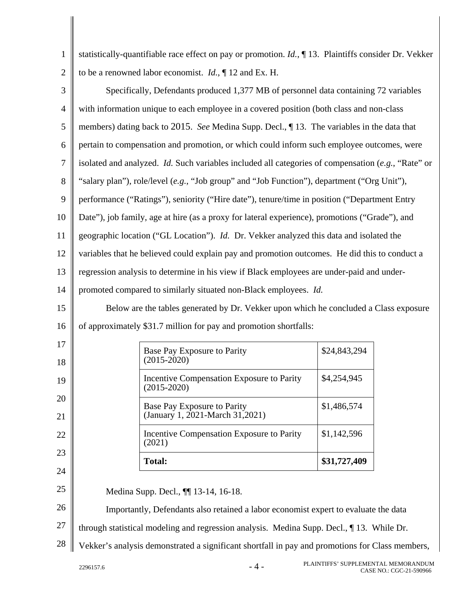| 1              |                                                                                           | statistically-quantifiable race effect on pay or promotion. $Id.$ , $\P$ 13. Plaintiffs consider Dr. Vekker |              |  |
|----------------|-------------------------------------------------------------------------------------------|-------------------------------------------------------------------------------------------------------------|--------------|--|
| $\overline{2}$ |                                                                                           | to be a renowned labor economist. <i>Id.</i> , $\P$ 12 and Ex. H.                                           |              |  |
| 3              | Specifically, Defendants produced 1,377 MB of personnel data containing 72 variables      |                                                                                                             |              |  |
| 4              |                                                                                           | with information unique to each employee in a covered position (both class and non-class                    |              |  |
| 5              |                                                                                           | members) dating back to 2015. See Medina Supp. Decl., 13. The variables in the data that                    |              |  |
| 6              |                                                                                           | pertain to compensation and promotion, or which could inform such employee outcomes, were                   |              |  |
| 7              |                                                                                           | isolated and analyzed. <i>Id.</i> Such variables included all categories of compensation $(e.g., "Rate" or$ |              |  |
| 8              |                                                                                           | "salary plan"), role/level (e.g., "Job group" and "Job Function"), department ("Org Unit"),                 |              |  |
| 9              |                                                                                           | performance ("Ratings"), seniority ("Hire date"), tenure/time in position ("Department Entry                |              |  |
| 10             |                                                                                           | Date"), job family, age at hire (as a proxy for lateral experience), promotions ("Grade"), and              |              |  |
| 11             |                                                                                           | geographic location ("GL Location"). Id. Dr. Vekker analyzed this data and isolated the                     |              |  |
| 12             |                                                                                           | variables that he believed could explain pay and promotion outcomes. He did this to conduct a               |              |  |
| 13             | regression analysis to determine in his view if Black employees are under-paid and under- |                                                                                                             |              |  |
| 14             | promoted compared to similarly situated non-Black employees. Id.                          |                                                                                                             |              |  |
| 15             |                                                                                           | Below are the tables generated by Dr. Vekker upon which he concluded a Class exposure                       |              |  |
| 16             |                                                                                           | of approximately \$31.7 million for pay and promotion shortfalls:                                           |              |  |
| 17             |                                                                                           | Base Pay Exposure to Parity                                                                                 | \$24,843,294 |  |
| 18             |                                                                                           | $(2015 - 2020)$                                                                                             |              |  |
| 19             |                                                                                           | Incentive Compensation Exposure to Parity<br>$(2015 - 2020)$                                                | \$4,254,945  |  |
| 20             |                                                                                           | Base Pay Exposure to Parity                                                                                 | \$1,486,574  |  |
| 21             |                                                                                           | (January 1, 2021-March 31, 2021)                                                                            |              |  |
| 22             |                                                                                           | Incentive Compensation Exposure to Parity<br>(2021)                                                         | \$1,142,596  |  |
| 23             |                                                                                           | <b>Total:</b>                                                                                               | \$31,727,409 |  |
| 24             |                                                                                           |                                                                                                             |              |  |
| 25             |                                                                                           | Medina Supp. Decl., $\P$ 13-14, 16-18.                                                                      |              |  |
| 26             |                                                                                           | Importantly, Defendants also retained a labor economist expert to evaluate the data                         |              |  |
| 27             |                                                                                           | through statistical modeling and regression analysis. Medina Supp. Decl., 13. While Dr.                     |              |  |
| 28             |                                                                                           | Vekker's analysis demonstrated a significant shortfall in pay and promotions for Class members,             |              |  |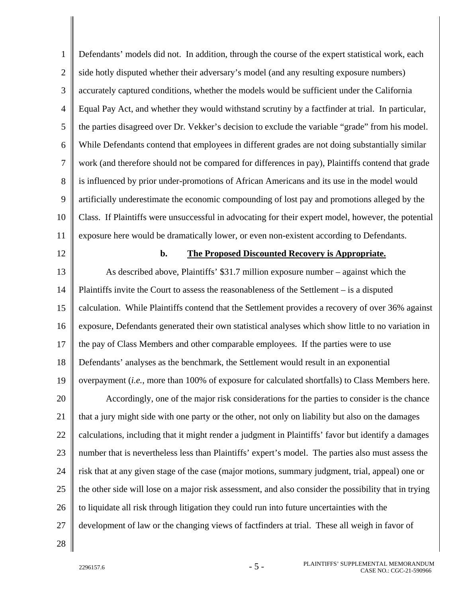1  $\mathcal{L}$ 3 4 5 6 7 8 9 10 11 12 13 14 15 16 17 18 19 20 21 22 23 24 25 26 27 28 Defendants' models did not. In addition, through the course of the expert statistical work, each side hotly disputed whether their adversary's model (and any resulting exposure numbers) accurately captured conditions, whether the models would be sufficient under the California Equal Pay Act, and whether they would withstand scrutiny by a factfinder at trial. In particular, the parties disagreed over Dr. Vekker's decision to exclude the variable "grade" from his model. While Defendants contend that employees in different grades are not doing substantially similar work (and therefore should not be compared for differences in pay), Plaintiffs contend that grade is influenced by prior under-promotions of African Americans and its use in the model would artificially underestimate the economic compounding of lost pay and promotions alleged by the Class. If Plaintiffs were unsuccessful in advocating for their expert model, however, the potential exposure here would be dramatically lower, or even non-existent according to Defendants. **b. The Proposed Discounted Recovery is Appropriate.**  As described above, Plaintiffs' \$31.7 million exposure number – against which the Plaintiffs invite the Court to assess the reasonableness of the Settlement – is a disputed calculation. While Plaintiffs contend that the Settlement provides a recovery of over 36% against exposure, Defendants generated their own statistical analyses which show little to no variation in the pay of Class Members and other comparable employees. If the parties were to use Defendants' analyses as the benchmark, the Settlement would result in an exponential overpayment (*i.e.*, more than 100% of exposure for calculated shortfalls) to Class Members here. Accordingly, one of the major risk considerations for the parties to consider is the chance that a jury might side with one party or the other, not only on liability but also on the damages calculations, including that it might render a judgment in Plaintiffs' favor but identify a damages number that is nevertheless less than Plaintiffs' expert's model. The parties also must assess the risk that at any given stage of the case (major motions, summary judgment, trial, appeal) one or the other side will lose on a major risk assessment, and also consider the possibility that in trying to liquidate all risk through litigation they could run into future uncertainties with the development of law or the changing views of factfinders at trial. These all weigh in favor of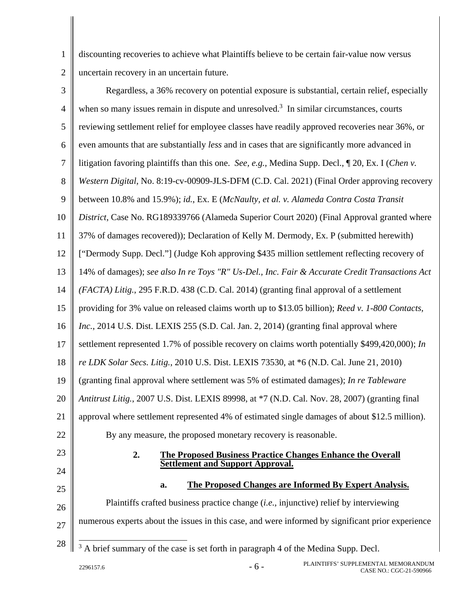1 2 discounting recoveries to achieve what Plaintiffs believe to be certain fair-value now versus uncertain recovery in an uncertain future.

| 3              | Regardless, a 36% recovery on potential exposure is substantial, certain relief, especially         |
|----------------|-----------------------------------------------------------------------------------------------------|
| $\overline{4}$ | when so many issues remain in dispute and unresolved. <sup>3</sup> In similar circumstances, courts |
| 5              | reviewing settlement relief for employee classes have readily approved recoveries near 36%, or      |
| 6              | even amounts that are substantially less and in cases that are significantly more advanced in       |
| $\overline{7}$ | litigation favoring plaintiffs than this one. See, e.g., Medina Supp. Decl., ¶ 20, Ex. I (Chen v.   |
| 8              | Western Digital, No. 8:19-cv-00909-JLS-DFM (C.D. Cal. 2021) (Final Order approving recovery         |
| 9              | between 10.8% and 15.9%); id., Ex. E (McNaulty, et al. v. Alameda Contra Costa Transit              |
| 10             | District, Case No. RG189339766 (Alameda Superior Court 2020) (Final Approval granted where          |
| 11             | 37% of damages recovered)); Declaration of Kelly M. Dermody, Ex. P (submitted herewith)             |
| 12             | ["Dermody Supp. Decl."] (Judge Koh approving \$435 million settlement reflecting recovery of        |
| 13             | 14% of damages); see also In re Toys "R" Us-Del., Inc. Fair & Accurate Credit Transactions Act      |
| 14             | (FACTA) Litig., 295 F.R.D. 438 (C.D. Cal. 2014) (granting final approval of a settlement            |
| 15             | providing for 3% value on released claims worth up to \$13.05 billion); Reed v. 1-800 Contacts,     |
| 16             | Inc., 2014 U.S. Dist. LEXIS 255 (S.D. Cal. Jan. 2, 2014) (granting final approval where             |
| 17             | settlement represented 1.7% of possible recovery on claims worth potentially \$499,420,000); In     |
| 18             | re LDK Solar Secs. Litig., 2010 U.S. Dist. LEXIS 73530, at *6 (N.D. Cal. June 21, 2010)             |
| 19             | (granting final approval where settlement was 5% of estimated damages); In re Tableware             |
| 20             | Antitrust Litig., 2007 U.S. Dist. LEXIS 89998, at *7 (N.D. Cal. Nov. 28, 2007) (granting final      |
| 21             | approval where settlement represented 4% of estimated single damages of about \$12.5 million).      |
| 22             | By any measure, the proposed monetary recovery is reasonable.                                       |
| 23             | 2.<br><b>The Proposed Business Practice Changes Enhance the Overall</b>                             |
| 24             | <b>Settlement and Support Approval.</b>                                                             |
| 25             | <b>The Proposed Changes are Informed By Expert Analysis.</b><br>a.                                  |
| 26             | Plaintiffs crafted business practice change <i>(i.e., injunctive)</i> relief by interviewing        |
| 27             | numerous experts about the issues in this case, and were informed by significant prior experience   |
| 28             | A brief summary of the case is set forth in paragraph 4 of the Medina Supp. Decl.<br>3              |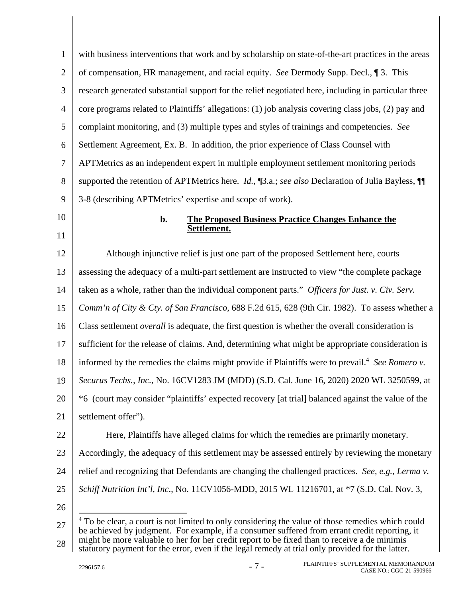| $\mathbf{1}$   | with business interventions that work and by scholarship on state-of-the-art practices in the areas         |
|----------------|-------------------------------------------------------------------------------------------------------------|
| $\overline{2}$ | of compensation, HR management, and racial equity. See Dermody Supp. Decl., 13. This                        |
| 3              | research generated substantial support for the relief negotiated here, including in particular three        |
| $\overline{4}$ | core programs related to Plaintiffs' allegations: (1) job analysis covering class jobs, (2) pay and         |
| 5              | complaint monitoring, and (3) multiple types and styles of trainings and competencies. See                  |
| 6              | Settlement Agreement, Ex. B. In addition, the prior experience of Class Counsel with                        |
| 7              | APTMetrics as an independent expert in multiple employment settlement monitoring periods                    |
| 8              | supported the retention of APTMetrics here. <i>Id.</i> , [3.a.; see also Declaration of Julia Bayless, [[   |
| 9              | 3-8 (describing APTMetrics' expertise and scope of work).                                                   |
| 10             | <b>The Proposed Business Practice Changes Enhance the</b><br>b.                                             |
| 11             | Settlement.                                                                                                 |
| 12             | Although injunctive relief is just one part of the proposed Settlement here, courts                         |
| 13             | assessing the adequacy of a multi-part settlement are instructed to view "the complete package              |
| 14             | taken as a whole, rather than the individual component parts." Officers for Just. v. Civ. Serv.             |
| 15             | Comm'n of City & Cty. of San Francisco, 688 F.2d 615, 628 (9th Cir. 1982). To assess whether a              |
| 16             | Class settlement <i>overall</i> is adequate, the first question is whether the overall consideration is     |
| 17             | sufficient for the release of claims. And, determining what might be appropriate consideration is           |
| 18             | informed by the remedies the claims might provide if Plaintiffs were to prevail. <sup>4</sup> See Romero v. |
| 19             | Securus Techs., Inc., No. 16CV1283 JM (MDD) (S.D. Cal. June 16, 2020) 2020 WL 3250599, at                   |
| 20             | *6 (court may consider "plaintiffs' expected recovery [at trial] balanced against the value of the          |
| 21             | settlement offer").                                                                                         |
| 22             | Here, Plaintiffs have alleged claims for which the remedies are primarily monetary.                         |
| 23             | Accordingly, the adequacy of this settlement may be assessed entirely by reviewing the monetary             |
| 24             | relief and recognizing that Defendants are changing the challenged practices. See, e.g., Lerma v.           |
| 25             | Schiff Nutrition Int'l, Inc., No. 11CV1056-MDD, 2015 WL 11216701, at *7 (S.D. Cal. Nov. 3,                  |
| 26             |                                                                                                             |
| 27             | To be clear, a court is not limited to only considering the value of those remedies which could             |

28 be achieved by judgment. For example, if a consumer suffered from errant credit reporting, it might be more valuable to her for her credit report to be fixed than to receive a de minimis statutory payment for the error, even if the legal remedy at trial only provided for the latter.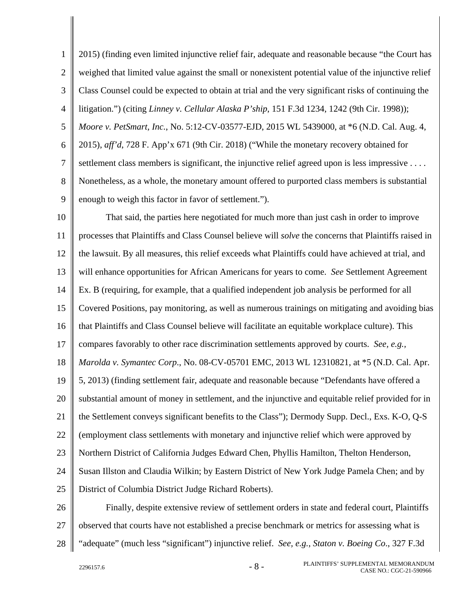1  $\mathcal{L}$ 3 4 5 6 7 8 9 2015) (finding even limited injunctive relief fair, adequate and reasonable because "the Court has weighed that limited value against the small or nonexistent potential value of the injunctive relief Class Counsel could be expected to obtain at trial and the very significant risks of continuing the litigation.") (citing *Linney v. Cellular Alaska P'ship*, 151 F.3d 1234, 1242 (9th Cir. 1998)); *Moore v. PetSmart, Inc.*, No. 5:12-CV-03577-EJD, 2015 WL 5439000, at \*6 (N.D. Cal. Aug. 4, 2015), *aff'd*, 728 F. App'x 671 (9th Cir. 2018) ("While the monetary recovery obtained for settlement class members is significant, the injunctive relief agreed upon is less impressive . . . . Nonetheless, as a whole, the monetary amount offered to purported class members is substantial enough to weigh this factor in favor of settlement.").

10 11 12 13 14 15 16 17 18 19 20 21 22 23 24 25 That said, the parties here negotiated for much more than just cash in order to improve processes that Plaintiffs and Class Counsel believe will *solve* the concerns that Plaintiffs raised in the lawsuit. By all measures, this relief exceeds what Plaintiffs could have achieved at trial, and will enhance opportunities for African Americans for years to come. *See* Settlement Agreement Ex. B (requiring, for example, that a qualified independent job analysis be performed for all Covered Positions, pay monitoring, as well as numerous trainings on mitigating and avoiding bias that Plaintiffs and Class Counsel believe will facilitate an equitable workplace culture). This compares favorably to other race discrimination settlements approved by courts. *See, e.g., Marolda v. Symantec Corp*., No. 08-CV-05701 EMC, 2013 WL 12310821, at \*5 (N.D. Cal. Apr. 5, 2013) (finding settlement fair, adequate and reasonable because "Defendants have offered a substantial amount of money in settlement, and the injunctive and equitable relief provided for in the Settlement conveys significant benefits to the Class"); Dermody Supp. Decl., Exs. K-O, Q-S (employment class settlements with monetary and injunctive relief which were approved by Northern District of California Judges Edward Chen, Phyllis Hamilton, Thelton Henderson, Susan Illston and Claudia Wilkin; by Eastern District of New York Judge Pamela Chen; and by District of Columbia District Judge Richard Roberts).

26 27 28 Finally, despite extensive review of settlement orders in state and federal court, Plaintiffs observed that courts have not established a precise benchmark or metrics for assessing what is "adequate" (much less "significant") injunctive relief. *See, e.g.*, *Staton v. Boeing Co*., 327 F.3d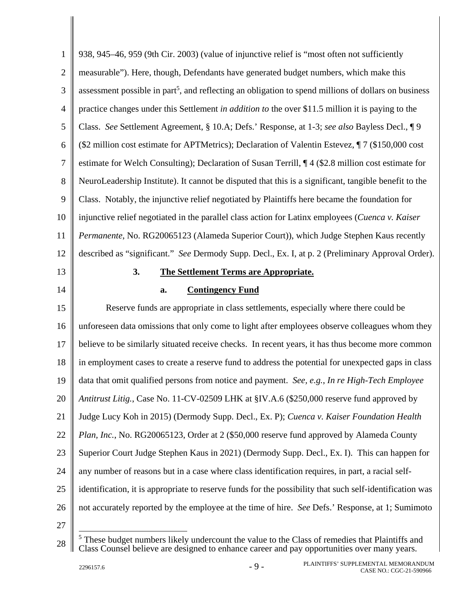| $\mathbf{1}$   | 938, 945–46, 959 (9th Cir. 2003) (value of injunctive relief is "most often not sufficiently                     |
|----------------|------------------------------------------------------------------------------------------------------------------|
| $\mathbf{2}$   | measurable"). Here, though, Defendants have generated budget numbers, which make this                            |
| 3              | assessment possible in part <sup>5</sup> , and reflecting an obligation to spend millions of dollars on business |
| $\overline{4}$ | practice changes under this Settlement in <i>addition to</i> the over \$11.5 million it is paying to the         |
| 5              | Class. See Settlement Agreement, § 10.A; Defs.' Response, at 1-3; see also Bayless Decl., ¶ 9                    |
| 6              | (\$2 million cost estimate for APTMetrics); Declaration of Valentin Estevez, ¶7 (\$150,000 cost                  |
| $\tau$         | estimate for Welch Consulting); Declaration of Susan Terrill, ¶4 (\$2.8 million cost estimate for                |
| $8\,$          | NeuroLeadership Institute). It cannot be disputed that this is a significant, tangible benefit to the            |
| 9              | Class. Notably, the injunctive relief negotiated by Plaintiffs here became the foundation for                    |
| 10             | injunctive relief negotiated in the parallel class action for Latinx employees (Cuenca v. Kaiser                 |
| 11             | Permanente, No. RG20065123 (Alameda Superior Court)), which Judge Stephen Kaus recently                          |
| 12             | described as "significant." See Dermody Supp. Decl., Ex. I, at p. 2 (Preliminary Approval Order).                |
| 13             | 3.<br><b>The Settlement Terms are Appropriate.</b>                                                               |
| 14             | <b>Contingency Fund</b><br>a.                                                                                    |
| 15             | Reserve funds are appropriate in class settlements, especially where there could be                              |
| 16             | unforeseen data omissions that only come to light after employees observe colleagues whom they                   |
|                |                                                                                                                  |
| 17             | believe to be similarly situated receive checks. In recent years, it has thus become more common                 |
| 18             | in employment cases to create a reserve fund to address the potential for unexpected gaps in class               |
| 19             | data that omit qualified persons from notice and payment. See, e.g., In re High-Tech Employee                    |
| 20             | Antitrust Litig., Case No. 11-CV-02509 LHK at §IV.A.6 (\$250,000 reserve fund approved by                        |
| 21             | Judge Lucy Koh in 2015) (Dermody Supp. Decl., Ex. P); Cuenca v. Kaiser Foundation Health                         |
| 22             | Plan, Inc., No. RG20065123, Order at 2 (\$50,000 reserve fund approved by Alameda County                         |
| 23             | Superior Court Judge Stephen Kaus in 2021) (Dermody Supp. Decl., Ex. I). This can happen for                     |
| 24             | any number of reasons but in a case where class identification requires, in part, a racial self-                 |
| 25             | identification, it is appropriate to reserve funds for the possibility that such self-identification was         |
| 26             | not accurately reported by the employee at the time of hire. See Defs.' Response, at 1; Sumimoto                 |
| 27             | $5$ These budget numbers likely undercount the value to the Class of remedies that Plaintiffs and                |

<sup>28</sup>  <sup>5</sup> These budget numbers likely undercount the value to the Class of remedies that Plaintiffs and Class Counsel believe are designed to enhance career and pay opportunities over many years.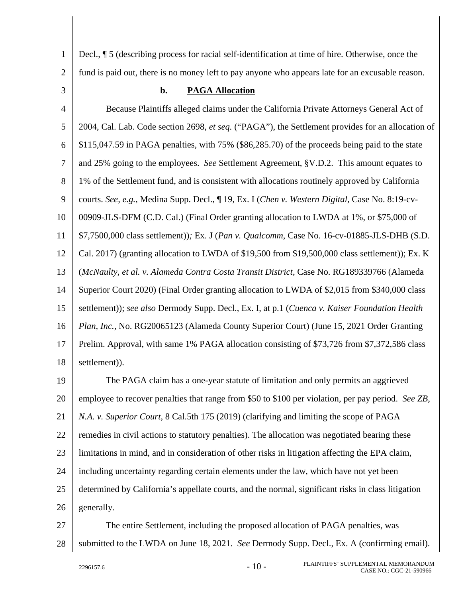Decl., ¶ 5 (describing process for racial self-identification at time of hire. Otherwise, once the fund is paid out, there is no money left to pay anyone who appears late for an excusable reason.

3

1

 $\mathcal{L}$ 

#### **b. PAGA Allocation**

4 5 6 7 8 9 10 11 12 13 14 15 16 17 18 Because Plaintiffs alleged claims under the California Private Attorneys General Act of 2004, Cal. Lab. Code section 2698, *et seq.* ("PAGA"), the Settlement provides for an allocation of \$115,047.59 in PAGA penalties, with 75% (\$86,285.70) of the proceeds being paid to the state and 25% going to the employees. *See* Settlement Agreement, §V.D.2. This amount equates to 1% of the Settlement fund, and is consistent with allocations routinely approved by California courts. *See, e.g.*, Medina Supp. Decl., ¶ 19, Ex. I (*Chen v. Western Digital*, Case No. 8:19-cv-00909-JLS-DFM (C.D. Cal.) (Final Order granting allocation to LWDA at 1%, or \$75,000 of \$7,7500,000 class settlement))*;* Ex. J (*Pan v. Qualcomm*, Case No. 16-cv-01885-JLS-DHB (S.D. Cal. 2017) (granting allocation to LWDA of \$19,500 from \$19,500,000 class settlement)); Ex. K (*McNaulty, et al. v. Alameda Contra Costa Transit District*, Case No. RG189339766 (Alameda Superior Court 2020) (Final Order granting allocation to LWDA of \$2,015 from \$340,000 class settlement)); *see also* Dermody Supp. Decl., Ex. I, at p.1 (*Cuenca v. Kaiser Foundation Health Plan, Inc.*, No. RG20065123 (Alameda County Superior Court) (June 15, 2021 Order Granting Prelim. Approval, with same 1% PAGA allocation consisting of \$73,726 from \$7,372,586 class settlement)).

19 20 21 22 23 24 25 26 The PAGA claim has a one-year statute of limitation and only permits an aggrieved employee to recover penalties that range from \$50 to \$100 per violation, per pay period. *See ZB, N.A. v. Superior Court*, 8 Cal.5th 175 (2019) (clarifying and limiting the scope of PAGA remedies in civil actions to statutory penalties). The allocation was negotiated bearing these limitations in mind, and in consideration of other risks in litigation affecting the EPA claim, including uncertainty regarding certain elements under the law, which have not yet been determined by California's appellate courts, and the normal, significant risks in class litigation generally.

27 28 The entire Settlement, including the proposed allocation of PAGA penalties, was submitted to the LWDA on June 18, 2021. *See* Dermody Supp. Decl., Ex. A (confirming email).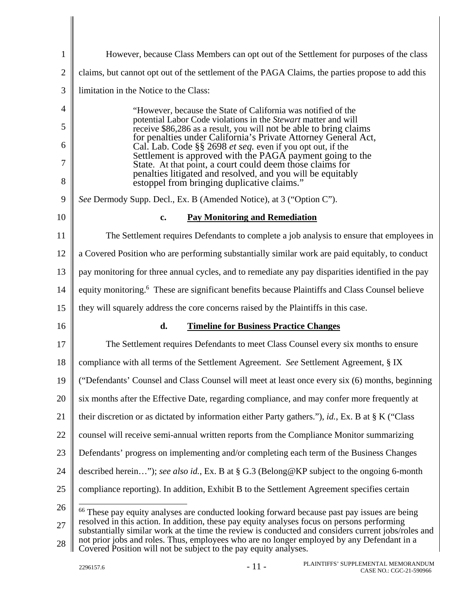| $\mathbf{1}$ | However, because Class Members can opt out of the Settlement for purposes of the class                                                                                                                                                                                                           |
|--------------|--------------------------------------------------------------------------------------------------------------------------------------------------------------------------------------------------------------------------------------------------------------------------------------------------|
| $\mathbf{2}$ | claims, but cannot opt out of the settlement of the PAGA Claims, the parties propose to add this                                                                                                                                                                                                 |
| 3            | limitation in the Notice to the Class:                                                                                                                                                                                                                                                           |
| 4            | "However, because the State of California was notified of the<br>potential Labor Code violations in the Stewart matter and will                                                                                                                                                                  |
| 5<br>6       | receive \$86,286 as a result, you will not be able to bring claims<br>for penalties under California's Private Attorney General Act,                                                                                                                                                             |
| 7            | Cal. Lab. Code §§ 2698 et seq. even if you opt out, if the<br>Settlement is approved with the PAGA payment going to the<br>State. At that point, a court could deem those claims for                                                                                                             |
| 8            | penalties litigated and resolved, and you will be equitably<br>estoppel from bringing duplicative claims."                                                                                                                                                                                       |
| 9            | See Dermody Supp. Decl., Ex. B (Amended Notice), at 3 ("Option C").                                                                                                                                                                                                                              |
| 10           | <b>Pay Monitoring and Remediation</b><br>c.                                                                                                                                                                                                                                                      |
| 11           | The Settlement requires Defendants to complete a job analysis to ensure that employees in                                                                                                                                                                                                        |
| 12           | a Covered Position who are performing substantially similar work are paid equitably, to conduct                                                                                                                                                                                                  |
| 13           | pay monitoring for three annual cycles, and to remediate any pay disparities identified in the pay                                                                                                                                                                                               |
| 14           | equity monitoring. <sup>6</sup> These are significant benefits because Plaintiffs and Class Counsel believe                                                                                                                                                                                      |
| 15           | they will squarely address the core concerns raised by the Plaintiffs in this case.                                                                                                                                                                                                              |
| 16           | d.<br><b>Timeline for Business Practice Changes</b>                                                                                                                                                                                                                                              |
| 17           | The Settlement requires Defendants to meet Class Counsel every six months to ensure                                                                                                                                                                                                              |
| 18           | compliance with all terms of the Settlement Agreement. See Settlement Agreement, § IX                                                                                                                                                                                                            |
| 19           | ("Defendants" Counsel and Class Counsel will meet at least once every six (6) months, beginning                                                                                                                                                                                                  |
| 20           | six months after the Effective Date, regarding compliance, and may confer more frequently at                                                                                                                                                                                                     |
| 21           | their discretion or as dictated by information either Party gathers."), id., Ex. B at $\S$ K ("Class")                                                                                                                                                                                           |
| 22           | counsel will receive semi-annual written reports from the Compliance Monitor summarizing                                                                                                                                                                                                         |
| 23           | Defendants' progress on implementing and/or completing each term of the Business Changes                                                                                                                                                                                                         |
| 24           | described herein"); see also id., Ex. B at § G.3 (Belong@KP subject to the ongoing 6-month                                                                                                                                                                                                       |
| 25           | compliance reporting). In addition, Exhibit B to the Settlement Agreement specifies certain                                                                                                                                                                                                      |
| 26           | <sup>66</sup> These pay equity analyses are conducted looking forward because past pay issues are being                                                                                                                                                                                          |
| 27           | resolved in this action. In addition, these pay equity analyses focus on persons performing<br>substantially similar work at the time the review is conducted and considers current jobs/roles and<br>not prior jobs and roles. Thus, employees who are no longer employed by any Defendant in a |
| 28           | Covered Position will not be subject to the pay equity analyses.                                                                                                                                                                                                                                 |

 $\parallel$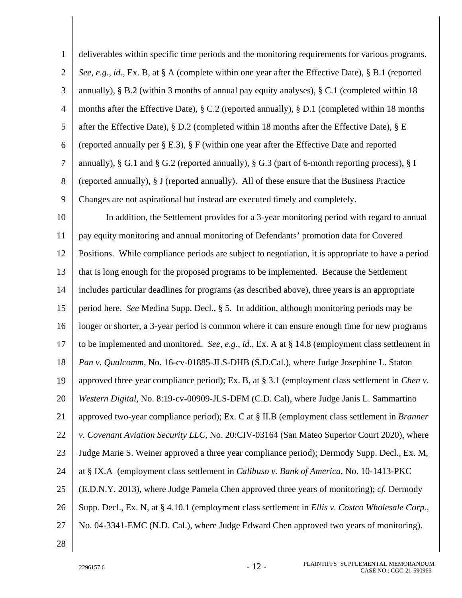| $\mathbf{1}$   | deliverables within specific time periods and the monitoring requirements for various programs.         |
|----------------|---------------------------------------------------------------------------------------------------------|
| $\mathbf{2}$   | See, e.g., id., Ex. B, at § A (complete within one year after the Effective Date), § B.1 (reported      |
| 3              | annually), § B.2 (within 3 months of annual pay equity analyses), § C.1 (completed within 18            |
| $\overline{4}$ | months after the Effective Date), § C.2 (reported annually), § D.1 (completed within 18 months          |
| 5              | after the Effective Date), $\S D.2$ (completed within 18 months after the Effective Date), $\S E$       |
| 6              | (reported annually per $\S E.3$ ), $\S F$ (within one year after the Effective Date and reported        |
| $\overline{7}$ | annually), § G.1 and § G.2 (reported annually), § G.3 (part of 6-month reporting process), § I          |
| 8              | (reported annually), § J (reported annually). All of these ensure that the Business Practice            |
| 9              | Changes are not aspirational but instead are executed timely and completely.                            |
| 10             | In addition, the Settlement provides for a 3-year monitoring period with regard to annual               |
| 11             | pay equity monitoring and annual monitoring of Defendants' promotion data for Covered                   |
| 12             | Positions. While compliance periods are subject to negotiation, it is appropriate to have a period      |
| 13             | that is long enough for the proposed programs to be implemented. Because the Settlement                 |
| 14             | includes particular deadlines for programs (as described above), three years is an appropriate          |
| 15             | period here. See Medina Supp. Decl., § 5. In addition, although monitoring periods may be               |
| 16             | longer or shorter, a 3-year period is common where it can ensure enough time for new programs           |
| 17             | to be implemented and monitored. See, e.g., id., Ex. A at $\S$ 14.8 (employment class settlement in     |
| 18             | Pan v. Qualcomm, No. 16-cv-01885-JLS-DHB (S.D.Cal.), where Judge Josephine L. Staton                    |
| 19             | approved three year compliance period); Ex. B, at § 3.1 (employment class settlement in <i>Chen v</i> . |
| 20             | Western Digital, No. 8:19-cv-00909-JLS-DFM (C.D. Cal), where Judge Janis L. Sammartino                  |
| 21             | approved two-year compliance period); Ex. C at § II.B (employment class settlement in Branner           |
| 22             | v. Covenant Aviation Security LLC, No. 20:CIV-03164 (San Mateo Superior Court 2020), where              |
| 23             | Judge Marie S. Weiner approved a three year compliance period); Dermody Supp. Decl., Ex. M,             |
| 24             | at § IX.A (employment class settlement in <i>Calibuso v. Bank of America</i> , No. 10-1413-PKC          |
| 25             | (E.D.N.Y. 2013), where Judge Pamela Chen approved three years of monitoring); cf. Dermody               |
| 26             | Supp. Decl., Ex. N, at § 4.10.1 (employment class settlement in Ellis v. Costco Wholesale Corp.,        |
| 27             | No. 04-3341-EMC (N.D. Cal.), where Judge Edward Chen approved two years of monitoring).                 |
| 28             |                                                                                                         |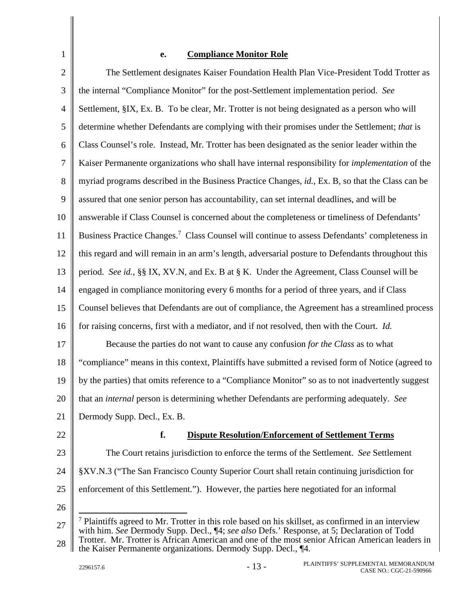## **e. Compliance Monitor Role**

 $\mathcal{L}$ 3 4 5 6 7 8 9 10 11 12 13 14 15 16 17 18 19 20 21 22 23 24 25 26 27 The Settlement designates Kaiser Foundation Health Plan Vice-President Todd Trotter as the internal "Compliance Monitor" for the post-Settlement implementation period. *See* Settlement, §IX, Ex. B. To be clear, Mr. Trotter is not being designated as a person who will determine whether Defendants are complying with their promises under the Settlement; *that* is Class Counsel's role. Instead, Mr. Trotter has been designated as the senior leader within the Kaiser Permanente organizations who shall have internal responsibility for *implementation* of the myriad programs described in the Business Practice Changes, *id.*, Ex. B, so that the Class can be assured that one senior person has accountability, can set internal deadlines, and will be answerable if Class Counsel is concerned about the completeness or timeliness of Defendants' Business Practice Changes.<sup>7</sup> Class Counsel will continue to assess Defendants' completeness in this regard and will remain in an arm's length, adversarial posture to Defendants throughout this period. *See id.*, §§ IX, XV.N, and Ex. B at § K. Under the Agreement, Class Counsel will be engaged in compliance monitoring every 6 months for a period of three years, and if Class Counsel believes that Defendants are out of compliance, the Agreement has a streamlined process for raising concerns, first with a mediator, and if not resolved, then with the Court. *Id.* Because the parties do not want to cause any confusion *for the Class* as to what "compliance" means in this context, Plaintiffs have submitted a revised form of Notice (agreed to by the parties) that omits reference to a "Compliance Monitor" so as to not inadvertently suggest that an *internal* person is determining whether Defendants are performing adequately. *See* Dermody Supp. Decl., Ex. B. **f. Dispute Resolution/Enforcement of Settlement Terms**  The Court retains jurisdiction to enforce the terms of the Settlement. *See* Settlement §XV.N.3 ("The San Francisco County Superior Court shall retain continuing jurisdiction for enforcement of this Settlement."). However, the parties here negotiated for an informal  $\overline{a}$ <sup>7</sup> Plaintiffs agreed to Mr. Trotter in this role based on his skillset, as confirmed in an interview with him. *See* Dermody Supp. Decl., ¶4; *see also* Defs.' Response, at 5; Declaration of Todd

1

<sup>28</sup>  Trotter. Mr. Trotter is African American and one of the most senior African American leaders in the Kaiser Permanente organizations. Dermody Supp. Decl., ¶4.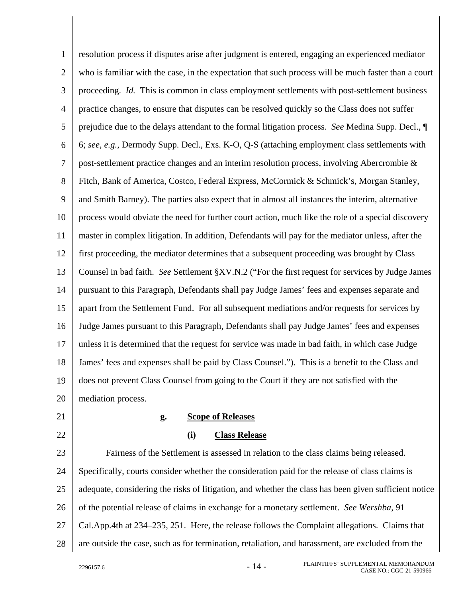1  $\mathfrak{D}$ 3 4 5 6 7 8 9 10 11 12 13 14 15 16 17 18 19 20 resolution process if disputes arise after judgment is entered, engaging an experienced mediator who is familiar with the case, in the expectation that such process will be much faster than a court proceeding. *Id.* This is common in class employment settlements with post-settlement business practice changes, to ensure that disputes can be resolved quickly so the Class does not suffer prejudice due to the delays attendant to the formal litigation process. *See* Medina Supp. Decl., ¶ 6; *see, e.g.*, Dermody Supp. Decl., Exs. K-O, Q-S (attaching employment class settlements with post-settlement practice changes and an interim resolution process, involving Abercrombie & Fitch, Bank of America, Costco, Federal Express, McCormick & Schmick's, Morgan Stanley, and Smith Barney). The parties also expect that in almost all instances the interim, alternative process would obviate the need for further court action, much like the role of a special discovery master in complex litigation. In addition, Defendants will pay for the mediator unless, after the first proceeding, the mediator determines that a subsequent proceeding was brought by Class Counsel in bad faith. *See* Settlement §XV.N.2 ("For the first request for services by Judge James pursuant to this Paragraph, Defendants shall pay Judge James' fees and expenses separate and apart from the Settlement Fund. For all subsequent mediations and/or requests for services by Judge James pursuant to this Paragraph, Defendants shall pay Judge James' fees and expenses unless it is determined that the request for service was made in bad faith, in which case Judge James' fees and expenses shall be paid by Class Counsel."). This is a benefit to the Class and does not prevent Class Counsel from going to the Court if they are not satisfied with the mediation process.

- 21
- 22

## **g. Scope of Releases**

**(i) Class Release** 

23 24 25 26 27 28 Fairness of the Settlement is assessed in relation to the class claims being released. Specifically, courts consider whether the consideration paid for the release of class claims is adequate, considering the risks of litigation, and whether the class has been given sufficient notice of the potential release of claims in exchange for a monetary settlement. *See Wershba*, 91 Cal.App.4th at 234–235, 251. Here, the release follows the Complaint allegations. Claims that are outside the case, such as for termination, retaliation, and harassment, are excluded from the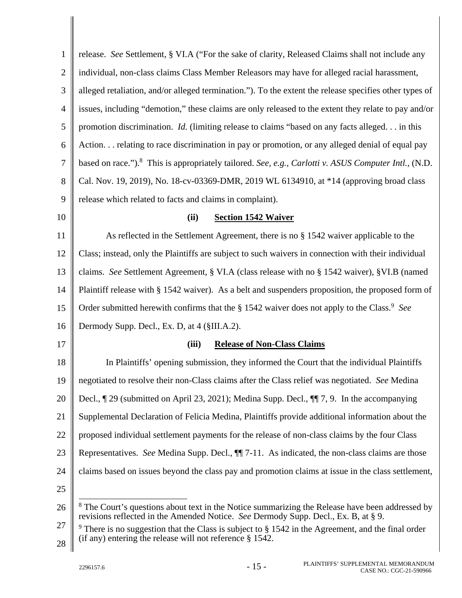| $\mathbf{1}$   | release. See Settlement, § VI.A ("For the sake of clarity, Released Claims shall not include any                                                                                                 |
|----------------|--------------------------------------------------------------------------------------------------------------------------------------------------------------------------------------------------|
| $\overline{2}$ | individual, non-class claims Class Member Releasors may have for alleged racial harassment,                                                                                                      |
| 3              | alleged retaliation, and/or alleged termination."). To the extent the release specifies other types of                                                                                           |
| $\overline{4}$ | issues, including "demotion," these claims are only released to the extent they relate to pay and/or                                                                                             |
| 5              | promotion discrimination. <i>Id.</i> (limiting release to claims "based on any facts alleged. in this                                                                                            |
| 6              | Action. relating to race discrimination in pay or promotion, or any alleged denial of equal pay                                                                                                  |
| $\tau$         | based on race."). <sup>8</sup> This is appropriately tailored. See, e.g., Carlotti v. ASUS Computer Intl., (N.D.                                                                                 |
| $8\,$          | Cal. Nov. 19, 2019), No. 18-cv-03369-DMR, 2019 WL 6134910, at *14 (approving broad class                                                                                                         |
| 9              | release which related to facts and claims in complaint).                                                                                                                                         |
| 10             | <b>Section 1542 Waiver</b><br>(ii)                                                                                                                                                               |
| 11             | As reflected in the Settlement Agreement, there is no § 1542 waiver applicable to the                                                                                                            |
| 12             | Class; instead, only the Plaintiffs are subject to such waivers in connection with their individual                                                                                              |
| 13             | claims. See Settlement Agreement, § VI.A (class release with no § 1542 waiver), §VI.B (named                                                                                                     |
| 14             | Plaintiff release with § 1542 waiver). As a belt and suspenders proposition, the proposed form of                                                                                                |
| 15             | Order submitted herewith confirms that the § 1542 waiver does not apply to the Class. <sup>9</sup> See                                                                                           |
| 16             | Dermody Supp. Decl., Ex. D, at 4 (§III.A.2).                                                                                                                                                     |
| 17             | <b>Release of Non-Class Claims</b><br>(iii)                                                                                                                                                      |
| 18             | In Plaintiffs' opening submission, they informed the Court that the individual Plaintiffs                                                                                                        |
| 19             | negotiated to resolve their non-Class claims after the Class relief was negotiated. See Medina                                                                                                   |
| 20             | Decl., ¶ 29 (submitted on April 23, 2021); Medina Supp. Decl., ¶ 7, 9. In the accompanying                                                                                                       |
| 21             | Supplemental Declaration of Felicia Medina, Plaintiffs provide additional information about the                                                                                                  |
| 22             | proposed individual settlement payments for the release of non-class claims by the four Class                                                                                                    |
| 23             | Representatives. See Medina Supp. Decl., $\P$ [7-11. As indicated, the non-class claims are those                                                                                                |
| 24             | claims based on issues beyond the class pay and promotion claims at issue in the class settlement,                                                                                               |
| 25             |                                                                                                                                                                                                  |
| 26             | <sup>8</sup> The Court's questions about text in the Notice summarizing the Release have been addressed by<br>revisions reflected in the Amended Notice. See Dermody Supp. Decl., Ex. B, at § 9. |
| 27             | $9$ There is no suggestion that the Class is subject to $\S$ 1542 in the Agreement, and the final order                                                                                          |
| 28             | (if any) entering the release will not reference $\S$ 1542.                                                                                                                                      |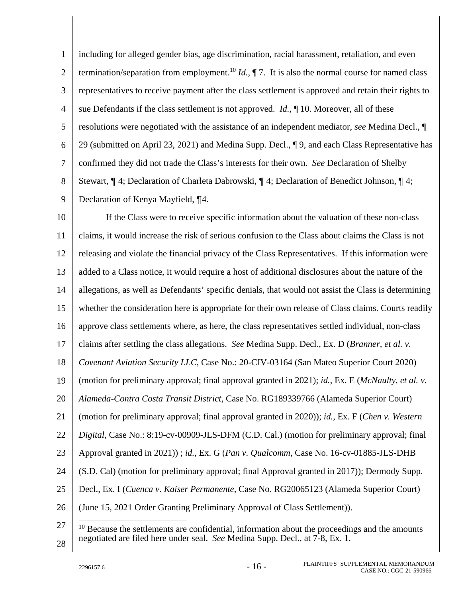1  $\mathcal{L}$ 3 4 5 6 7 8 9 including for alleged gender bias, age discrimination, racial harassment, retaliation, and even termination/separation from employment.<sup>10</sup> *Id.*,  $\P$  7. It is also the normal course for named class representatives to receive payment after the class settlement is approved and retain their rights to sue Defendants if the class settlement is not approved. *Id.*, ¶ 10. Moreover, all of these resolutions were negotiated with the assistance of an independent mediator, *see* Medina Decl., ¶ 29 (submitted on April 23, 2021) and Medina Supp. Decl., ¶ 9, and each Class Representative has confirmed they did not trade the Class's interests for their own. *See* Declaration of Shelby Stewart, ¶ 4; Declaration of Charleta Dabrowski, ¶ 4; Declaration of Benedict Johnson, ¶ 4; Declaration of Kenya Mayfield, ¶4.

10 11 12 13 14 15 16 17 18 19 20 21 22 23 24 25 26 27 If the Class were to receive specific information about the valuation of these non-class claims, it would increase the risk of serious confusion to the Class about claims the Class is not releasing and violate the financial privacy of the Class Representatives. If this information were added to a Class notice, it would require a host of additional disclosures about the nature of the allegations, as well as Defendants' specific denials, that would not assist the Class is determining whether the consideration here is appropriate for their own release of Class claims. Courts readily approve class settlements where, as here, the class representatives settled individual, non-class claims after settling the class allegations. *See* Medina Supp. Decl., Ex. D (*Branner, et al. v. Covenant Aviation Security LLC*, Case No.: 20-CIV-03164 (San Mateo Superior Court 2020) (motion for preliminary approval; final approval granted in 2021); *id.*, Ex. E (*McNaulty, et al. v. Alameda-Contra Costa Transit District*, Case No. RG189339766 (Alameda Superior Court) (motion for preliminary approval; final approval granted in 2020)); *id.*, Ex. F (*Chen v. Western Digital*, Case No.: 8:19-cv-00909-JLS-DFM (C.D. Cal.) (motion for preliminary approval; final Approval granted in 2021)) ; *id.*, Ex. G (*Pan v. Qualcomm*, Case No. 16-cv-01885-JLS-DHB (S.D. Cal) (motion for preliminary approval; final Approval granted in 2017)); Dermody Supp. Decl., Ex. I (*Cuenca v. Kaiser Permanente*, Case No. RG20065123 (Alameda Superior Court) (June 15, 2021 Order Granting Preliminary Approval of Class Settlement)). 

<sup>28</sup>   $10$  Because the settlements are confidential, information about the proceedings and the amounts negotiated are filed here under seal. *See* Medina Supp. Decl., at 7-8, Ex. 1.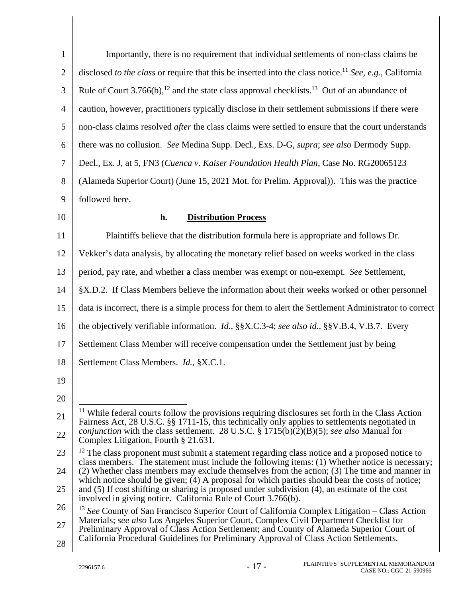| $\mathbf{1}$   | Importantly, there is no requirement that individual settlements of non-class claims be                                                                                                               |  |  |  |
|----------------|-------------------------------------------------------------------------------------------------------------------------------------------------------------------------------------------------------|--|--|--|
| $\overline{2}$ | disclosed to the class or require that this be inserted into the class notice. <sup>11</sup> See, e.g., California                                                                                    |  |  |  |
| 3              | Rule of Court 3.766(b), <sup>12</sup> and the state class approval checklists. <sup>13</sup> Out of an abundance of                                                                                   |  |  |  |
| $\overline{4}$ | caution, however, practitioners typically disclose in their settlement submissions if there were                                                                                                      |  |  |  |
| 5              | non-class claims resolved <i>after</i> the class claims were settled to ensure that the court understands                                                                                             |  |  |  |
| 6              | there was no collusion. See Medina Supp. Decl., Exs. D-G, supra; see also Dermody Supp.                                                                                                               |  |  |  |
| 7              | Decl., Ex. J, at 5, FN3 (Cuenca v. Kaiser Foundation Health Plan, Case No. RG20065123                                                                                                                 |  |  |  |
| 8              | (Alameda Superior Court) (June 15, 2021 Mot. for Prelim. Approval)). This was the practice                                                                                                            |  |  |  |
| 9              | followed here.                                                                                                                                                                                        |  |  |  |
| 10             | <b>Distribution Process</b><br>h.                                                                                                                                                                     |  |  |  |
| 11             | Plaintiffs believe that the distribution formula here is appropriate and follows Dr.                                                                                                                  |  |  |  |
| 12             | Vekker's data analysis, by allocating the monetary relief based on weeks worked in the class                                                                                                          |  |  |  |
| 13             | period, pay rate, and whether a class member was exempt or non-exempt. See Settlement,                                                                                                                |  |  |  |
| 14             | §X.D.2. If Class Members believe the information about their weeks worked or other personnel                                                                                                          |  |  |  |
| 15             | data is incorrect, there is a simple process for them to alert the Settlement Administrator to correct                                                                                                |  |  |  |
| 16             | the objectively verifiable information. Id., §§X.C.3-4; see also id., §§V.B.4, V.B.7. Every                                                                                                           |  |  |  |
| 17             | Settlement Class Member will receive compensation under the Settlement just by being                                                                                                                  |  |  |  |
| 18             | Settlement Class Members. Id., §X.C.1.                                                                                                                                                                |  |  |  |
| 19             |                                                                                                                                                                                                       |  |  |  |
| 20             |                                                                                                                                                                                                       |  |  |  |
| 21             | $11$ While federal courts follow the provisions requiring disclosures set forth in the Class Action<br>Fairness Act, 28 U.S.C. §§ 1711-15, this technically only applies to settlements negotiated in |  |  |  |
| 22             | <i>conjunction</i> with the class settlement. 28 U.S.C. § 1715(b)(2)(B)(5); see also Manual for<br>Complex Litigation, Fourth § 21.631.                                                               |  |  |  |
| 23             | $12$ The class proponent must submit a statement regarding class notice and a proposed notice to<br>class members. The statement must include the following items: (1) Whether notice is necessary;   |  |  |  |
| 24             | (2) Whether class members may exclude themselves from the action; (3) The time and manner in<br>which notice should be given; (4) A proposal for which parties should bear the costs of notice;       |  |  |  |
| 25             | and (5) If cost shifting or sharing is proposed under subdivision (4), an estimate of the cost<br>involved in giving notice. California Rule of Court 3.766(b).                                       |  |  |  |
| 26             | <sup>13</sup> See County of San Francisco Superior Court of California Complex Litigation – Class Action                                                                                              |  |  |  |
| 27             | Materials; see also Los Angeles Superior Court, Complex Civil Department Checklist for<br>Preliminary Approval of Class Action Settlement; and County of Alameda Superior Court of                    |  |  |  |
| 28             | California Procedural Guidelines for Preliminary Approval of Class Action Settlements.                                                                                                                |  |  |  |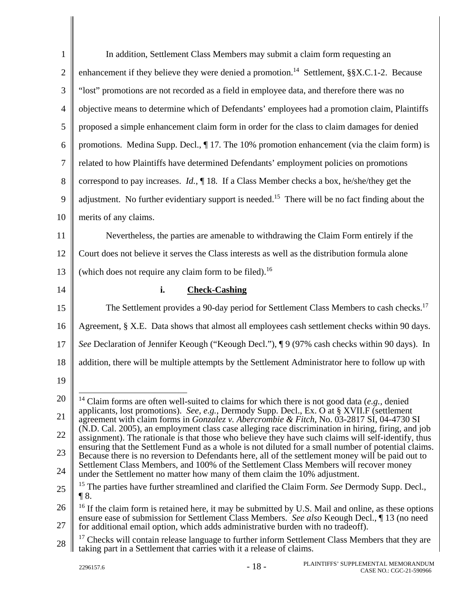| $\mathbf{1}$   | In addition, Settlement Class Members may submit a claim form requesting an                                                                                                                               |
|----------------|-----------------------------------------------------------------------------------------------------------------------------------------------------------------------------------------------------------|
| $\mathbf{2}$   | enhancement if they believe they were denied a promotion. <sup>14</sup> Settlement, $\S$ $X.C.1-2$ . Because                                                                                              |
| 3              | "lost" promotions are not recorded as a field in employee data, and therefore there was no                                                                                                                |
| $\overline{4}$ | objective means to determine which of Defendants' employees had a promotion claim, Plaintiffs                                                                                                             |
| 5              | proposed a simple enhancement claim form in order for the class to claim damages for denied                                                                                                               |
| 6              | promotions. Medina Supp. Decl., $\P$ 17. The 10% promotion enhancement (via the claim form) is                                                                                                            |
| $\tau$         | related to how Plaintiffs have determined Defendants' employment policies on promotions                                                                                                                   |
| 8              | correspond to pay increases. <i>Id.</i> , $\P$ 18. If a Class Member checks a box, he/she/they get the                                                                                                    |
| 9              | adjustment. No further evidentiary support is needed. <sup>15</sup> There will be no fact finding about the                                                                                               |
| 10             | merits of any claims.                                                                                                                                                                                     |
| 11             | Nevertheless, the parties are amenable to withdrawing the Claim Form entirely if the                                                                                                                      |
| 12             | Court does not believe it serves the Class interests as well as the distribution formula alone                                                                                                            |
| 13             | (which does not require any claim form to be filed). <sup>16</sup>                                                                                                                                        |
| 14             | i.<br><b>Check-Cashing</b>                                                                                                                                                                                |
| 15             | The Settlement provides a 90-day period for Settlement Class Members to cash checks. <sup>17</sup>                                                                                                        |
| 16             | Agreement, § X.E. Data shows that almost all employees cash settlement checks within 90 days.                                                                                                             |
| 17             | See Declaration of Jennifer Keough ("Keough Decl."), ¶ 9 (97% cash checks within 90 days). In                                                                                                             |
| 18             | addition, there will be multiple attempts by the Settlement Administrator here to follow up with                                                                                                          |
| 19             |                                                                                                                                                                                                           |
| 20             | $14$ Claim forms are often well-suited to claims for which there is not good data (e.g., denied                                                                                                           |
| 21             | applicants, lost promotions). See, e.g., Dermody Supp. Decl., Ex. O at § XVII.F (settlement<br>agreement with claim forms in <i>Gonzalez v. Abercrombie &amp; Fitch</i> , No. 03-2817 SI, 04-4730 SI      |
| 22             | (N.D. Cal. 2005), an employment class case alleging race discrimination in hiring, firing, and job<br>assignment). The rationale is that those who believe they have such claims will self-identify, thus |
| 23             | ensuring that the Settlement Fund as a whole is not diluted for a small number of potential claims.<br>Because there is no reversion to Defendants here, all of the settlement money will be paid out to  |
| 24             | Settlement Class Members, and 100% of the Settlement Class Members will recover money<br>under the Settlement no matter how many of them claim the 10% adjustment.                                        |
| 25             | <sup>15</sup> The parties have further streamlined and clarified the Claim Form. See Dermody Supp. Decl.,<br>$\P 8.$                                                                                      |
| 26             | $16$ If the claim form is retained here, it may be submitted by U.S. Mail and online, as these options                                                                                                    |
| 27             | ensure ease of submission for Settlement Class Members. See also Keough Decl., 13 (no need                                                                                                                |
|                | for additional email option, which adds administrative burden with no tradeoff).                                                                                                                          |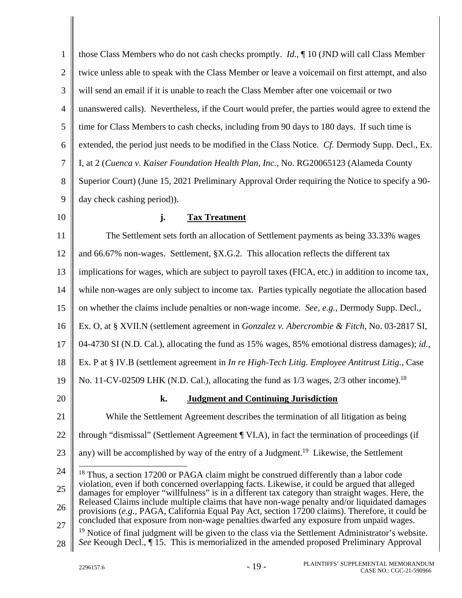| 1            | those Class Members who do not cash checks promptly. <i>Id.</i> , $\P$ 10 (JND will call Class Member                                                                                                    |  |  |  |  |
|--------------|----------------------------------------------------------------------------------------------------------------------------------------------------------------------------------------------------------|--|--|--|--|
| $\mathbf{2}$ | twice unless able to speak with the Class Member or leave a voicemail on first attempt, and also                                                                                                         |  |  |  |  |
| 3            | will send an email if it is unable to reach the Class Member after one voicemail or two                                                                                                                  |  |  |  |  |
| 4            | unanswered calls). Nevertheless, if the Court would prefer, the parties would agree to extend the                                                                                                        |  |  |  |  |
| 5            | time for Class Members to cash checks, including from 90 days to 180 days. If such time is                                                                                                               |  |  |  |  |
| 6            | extended, the period just needs to be modified in the Class Notice. Cf. Dermody Supp. Decl., Ex.                                                                                                         |  |  |  |  |
| $\tau$       | I, at 2 (Cuenca v. Kaiser Foundation Health Plan, Inc., No. RG20065123 (Alameda County                                                                                                                   |  |  |  |  |
| 8            | Superior Court) (June 15, 2021 Preliminary Approval Order requiring the Notice to specify a 90-                                                                                                          |  |  |  |  |
| 9            | day check cashing period)).                                                                                                                                                                              |  |  |  |  |
| 10           | j.<br><b>Tax Treatment</b>                                                                                                                                                                               |  |  |  |  |
| 11           | The Settlement sets forth an allocation of Settlement payments as being 33.33% wages                                                                                                                     |  |  |  |  |
| 12           | and 66.67% non-wages. Settlement, §X.G.2. This allocation reflects the different tax                                                                                                                     |  |  |  |  |
| 13           | implications for wages, which are subject to payroll taxes (FICA, etc.) in addition to income tax,                                                                                                       |  |  |  |  |
| 14           | while non-wages are only subject to income tax. Parties typically negotiate the allocation based                                                                                                         |  |  |  |  |
| 15           | on whether the claims include penalties or non-wage income. See, e.g., Dermody Supp. Decl.,                                                                                                              |  |  |  |  |
| 16           | Ex. O, at § XVII.N (settlement agreement in Gonzalez v. Abercrombie & Fitch, No. 03-2817 SI,                                                                                                             |  |  |  |  |
| 17           | 04-4730 SI (N.D. Cal.), allocating the fund as 15% wages, 85% emotional distress damages); id.,                                                                                                          |  |  |  |  |
| 18           | Ex. P at § IV.B (settlement agreement in In re High-Tech Litig. Employee Antitrust Litig., Case                                                                                                          |  |  |  |  |
| 19           | No. 11-CV-02509 LHK (N.D. Cal.), allocating the fund as 1/3 wages, 2/3 other income). <sup>18</sup>                                                                                                      |  |  |  |  |
| 20           | <b>Judgment and Continuing Jurisdiction</b><br>k.                                                                                                                                                        |  |  |  |  |
| 21           | While the Settlement Agreement describes the termination of all litigation as being                                                                                                                      |  |  |  |  |
| 22           | through "dismissal" (Settlement Agreement ¶ VI.A), in fact the termination of proceedings (if                                                                                                            |  |  |  |  |
| 23           | any) will be accomplished by way of the entry of a Judgment. <sup>19</sup> Likewise, the Settlement                                                                                                      |  |  |  |  |
| 24           | <sup>18</sup> Thus, a section 17200 or PAGA claim might be construed differently than a labor code                                                                                                       |  |  |  |  |
| 25           | violation, even if both concerned overlapping facts. Likewise, it could be argued that alleged<br>damages for employer "willfulness" is in a different tax category than straight wages. Here, the       |  |  |  |  |
| 26           | Released Claims include multiple claims that have non-wage penalty and/or liquidated damages<br>provisions (e.g., PAGA, California Equal Pay Act, section 17200 claims). Therefore, it could be          |  |  |  |  |
| 27           | concluded that exposure from non-wage penalties dwarfed any exposure from unpaid wages.<br><sup>19</sup> Notice of final judgment will be given to the class via the Settlement Administrator's website. |  |  |  |  |
| 28           | See Keough Decl., 115. This is memorialized in the amended proposed Preliminary Approval                                                                                                                 |  |  |  |  |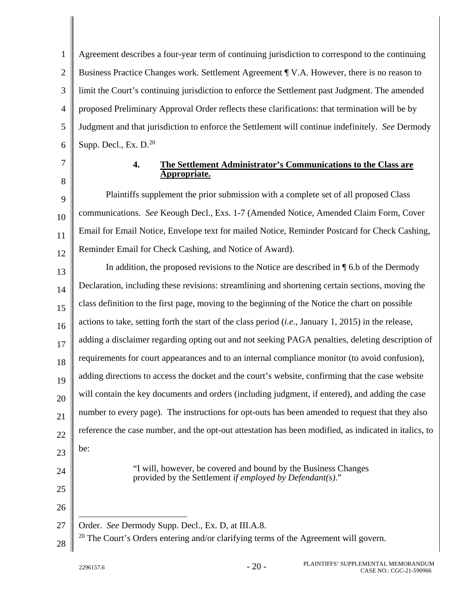1  $\mathcal{L}$ 3 4 5 6 Agreement describes a four-year term of continuing jurisdiction to correspond to the continuing Business Practice Changes work. Settlement Agreement ¶ V.A. However, there is no reason to limit the Court's continuing jurisdiction to enforce the Settlement past Judgment. The amended proposed Preliminary Approval Order reflects these clarifications: that termination will be by Judgment and that jurisdiction to enforce the Settlement will continue indefinitely. *See* Dermody Supp. Decl., Ex.  $D<sup>20</sup>$ 

7

8

9

10

11

12

#### **4. The Settlement Administrator's Communications to the Class are Appropriate.**

Plaintiffs supplement the prior submission with a complete set of all proposed Class communications. *See* Keough Decl., Exs. 1-7 (Amended Notice, Amended Claim Form, Cover Email for Email Notice, Envelope text for mailed Notice, Reminder Postcard for Check Cashing, Reminder Email for Check Cashing, and Notice of Award).

13 14 15 16 17 18 19 20 21 22 23 24 In addition, the proposed revisions to the Notice are described in ¶ 6.b of the Dermody Declaration, including these revisions: streamlining and shortening certain sections, moving the class definition to the first page, moving to the beginning of the Notice the chart on possible actions to take, setting forth the start of the class period (*i.e.*, January 1, 2015) in the release, adding a disclaimer regarding opting out and not seeking PAGA penalties, deleting description of requirements for court appearances and to an internal compliance monitor (to avoid confusion), adding directions to access the docket and the court's website, confirming that the case website will contain the key documents and orders (including judgment, if entered), and adding the case number to every page). The instructions for opt-outs has been amended to request that they also reference the case number, and the opt-out attestation has been modified, as indicated in italics, to be: "I will, however, be covered and bound by the Business Changes

provided by the Settlement *if employed by Defendant(s)*."

27  $\overline{a}$ Order. *See* Dermody Supp. Decl., Ex. D, at III.A.8.

28  $20$  The Court's Orders entering and/or clarifying terms of the Agreement will govern.

25

26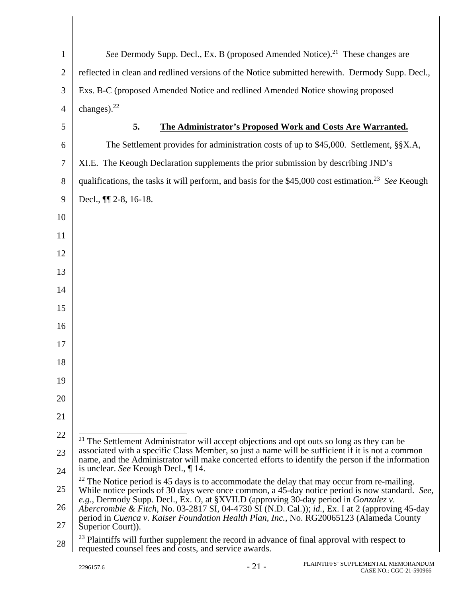| $\mathbf{1}$ | See Dermody Supp. Decl., Ex. B (proposed Amended Notice). <sup>21</sup> These changes are                                                                                                                                                                                          |
|--------------|------------------------------------------------------------------------------------------------------------------------------------------------------------------------------------------------------------------------------------------------------------------------------------|
| $\mathbf{2}$ | reflected in clean and redlined versions of the Notice submitted herewith. Dermody Supp. Decl.,                                                                                                                                                                                    |
| 3            | Exs. B-C (proposed Amended Notice and redlined Amended Notice showing proposed                                                                                                                                                                                                     |
| 4            | changes). $^{22}$                                                                                                                                                                                                                                                                  |
| 5            | 5.<br>The Administrator's Proposed Work and Costs Are Warranted.                                                                                                                                                                                                                   |
| 6            | The Settlement provides for administration costs of up to \$45,000. Settlement, §§X.A,                                                                                                                                                                                             |
| 7            | XI.E. The Keough Declaration supplements the prior submission by describing JND's                                                                                                                                                                                                  |
| 8            | qualifications, the tasks it will perform, and basis for the \$45,000 cost estimation. <sup>23</sup> See Keough                                                                                                                                                                    |
| 9            | Decl., $\P$ [2-8, 16-18.                                                                                                                                                                                                                                                           |
| 10           |                                                                                                                                                                                                                                                                                    |
| 11           |                                                                                                                                                                                                                                                                                    |
| 12           |                                                                                                                                                                                                                                                                                    |
| 13           |                                                                                                                                                                                                                                                                                    |
| 14           |                                                                                                                                                                                                                                                                                    |
| 15           |                                                                                                                                                                                                                                                                                    |
| 16           |                                                                                                                                                                                                                                                                                    |
| 17           |                                                                                                                                                                                                                                                                                    |
| 18           |                                                                                                                                                                                                                                                                                    |
| 19           |                                                                                                                                                                                                                                                                                    |
| 20           |                                                                                                                                                                                                                                                                                    |
| 21           |                                                                                                                                                                                                                                                                                    |
| 22           | <sup>21</sup> The Settlement Administrator will accept objections and opt outs so long as they can be                                                                                                                                                                              |
| 23           | associated with a specific Class Member, so just a name will be sufficient if it is not a common<br>name, and the Administrator will make concerted efforts to identify the person if the information                                                                              |
| 24           | is unclear. See Keough Decl., ¶14.                                                                                                                                                                                                                                                 |
| 25           | $22$ The Notice period is 45 days is to accommodate the delay that may occur from re-mailing.<br>While notice periods of 30 days were once common, a 45-day notice period is now standard. See,                                                                                    |
| 26           | e.g., Dermody Supp. Decl., Ex. O, at §XVII.D (approving 30-day period in Gonzalez v.<br>Abercrombie & Fitch, No. 03-2817 SI, 04-4730 SI (N.D. Cal.)); id., Ex. I at 2 (approving 45-day<br>period in Cuenca v. Kaiser Foundation Health Plan, Inc., No. RG20065123 (Alameda County |
| 27           | Superior Court)).                                                                                                                                                                                                                                                                  |
| 28           | <sup>23</sup> Plaintiffs will further supplement the record in advance of final approval with respect to<br>requested counsel fees and costs, and service awards.                                                                                                                  |